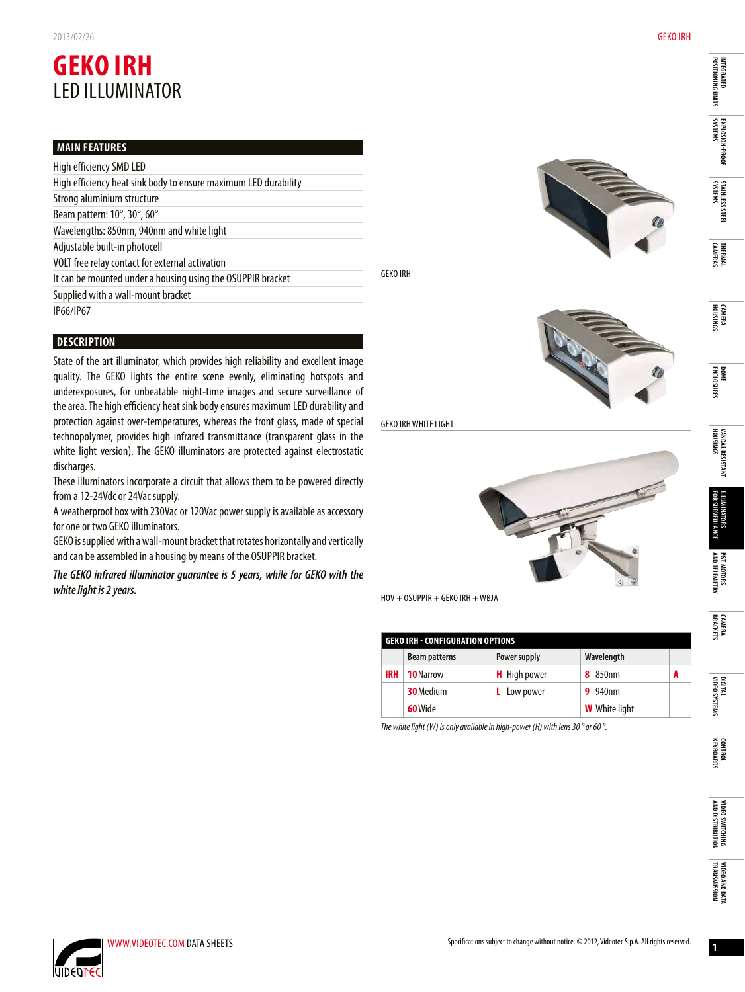## **GEKO IRH** LED illuminator

## **Main Features**

| High efficiency SMD LED                                         |
|-----------------------------------------------------------------|
| High efficiency heat sink body to ensure maximum LED durability |
| Strong aluminium structure                                      |
| Beam pattern: 10°, 30°, 60°                                     |
| Wavelengths: 850nm, 940nm and white light                       |
| Adjustable built-in photocell                                   |
| VOLT free relay contact for external activation                 |
| It can be mounted under a housing using the OSUPPIR bracket     |
| Supplied with a wall-mount bracket                              |
| IP66/IP67                                                       |
|                                                                 |

## **Description**

State of the art illuminator, which provides high reliability and excellent image quality. The GEKO lights the entire scene evenly, eliminating hotspots and underexposures, for unbeatable night-time images and secure surveillance of the area. The high efficiency heat sink body ensures maximum LED durability and protection against over-temperatures, whereas the front glass, made of special technopolymer, provides high infrared transmittance (transparent glass in the white light version). The GEKO illuminators are protected against electrostatic discharges.

These illuminators incorporate a circuit that allows them to be powered directly from a 12-24Vdc or 24Vac supply.

A weatherproof box with 230Vac or 120Vac power supply is available as accessory for one or two GEKO illuminators.

GEKO is supplied with a wall-mount bracket that rotates horizontally and vertically and can be assembled in a housing by means of the OSUPPIR bracket.

*The GEKO infrared illuminator guarantee is 5 years, while for GEKO with the white light is 2 years.*



GEKO IRH



**GEKO IRH WHITE LIGHT** 



| <b>GEKO IRH - CONFIGURATION OPTIONS</b> |                      |                     |                            |   |  |  |  |  |
|-----------------------------------------|----------------------|---------------------|----------------------------|---|--|--|--|--|
|                                         | <b>Beam patterns</b> | Power supply        | Wavelength                 |   |  |  |  |  |
| <b>IRH</b>                              | <b>10 Narrow</b>     | <b>H</b> High power | <b>8</b> 850 <sub>nm</sub> | A |  |  |  |  |
|                                         | 30 Medium            | Low power           | <b>9</b> 940nm             |   |  |  |  |  |
|                                         | 60 Wide              |                     | <b>W</b> White light       |   |  |  |  |  |

*The white light (W) is only available in high-power (H) with lens 30 ° or 60 °.*

**integrated**<br>Positioning units **Integrated itioning units** 

**Explosion-proof EXPLOSION-PROOF**<br>SYSTEMS

**Stainless steel STAINLESS STEEL**<br>SYSTEMS

**Thermal cameras** 

**Camera housings** 

**Dome enclosures** 

**Vandal resistant housings** 

VANDAL RESISTANT<br>Housings